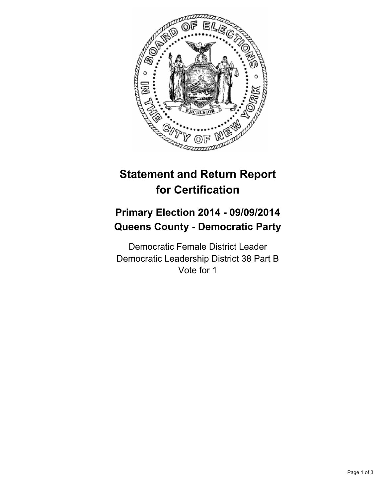

## **Statement and Return Report for Certification**

## **Primary Election 2014 - 09/09/2014 Queens County - Democratic Party**

Democratic Female District Leader Democratic Leadership District 38 Part B Vote for 1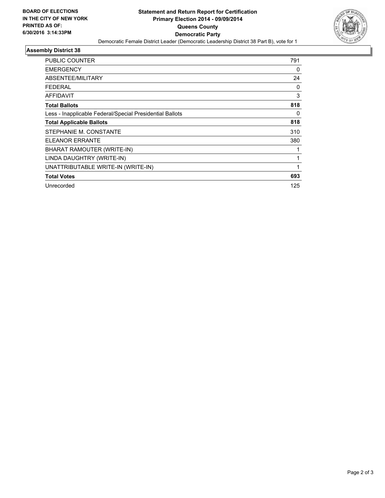

## **Assembly District 38**

| PUBLIC COUNTER                                           | 791 |
|----------------------------------------------------------|-----|
| <b>EMERGENCY</b>                                         | 0   |
| ABSENTEE/MILITARY                                        | 24  |
| FEDERAL                                                  | 0   |
| <b>AFFIDAVIT</b>                                         | 3   |
| <b>Total Ballots</b>                                     | 818 |
| Less - Inapplicable Federal/Special Presidential Ballots | 0   |
| <b>Total Applicable Ballots</b>                          | 818 |
| STEPHANIE M. CONSTANTE                                   | 310 |
| <b>ELEANOR ERRANTE</b>                                   | 380 |
| BHARAT RAMOUTER (WRITE-IN)                               |     |
| LINDA DAUGHTRY (WRITE-IN)                                |     |
| UNATTRIBUTABLE WRITE-IN (WRITE-IN)                       | 1   |
| <b>Total Votes</b>                                       | 693 |
| Unrecorded                                               | 125 |